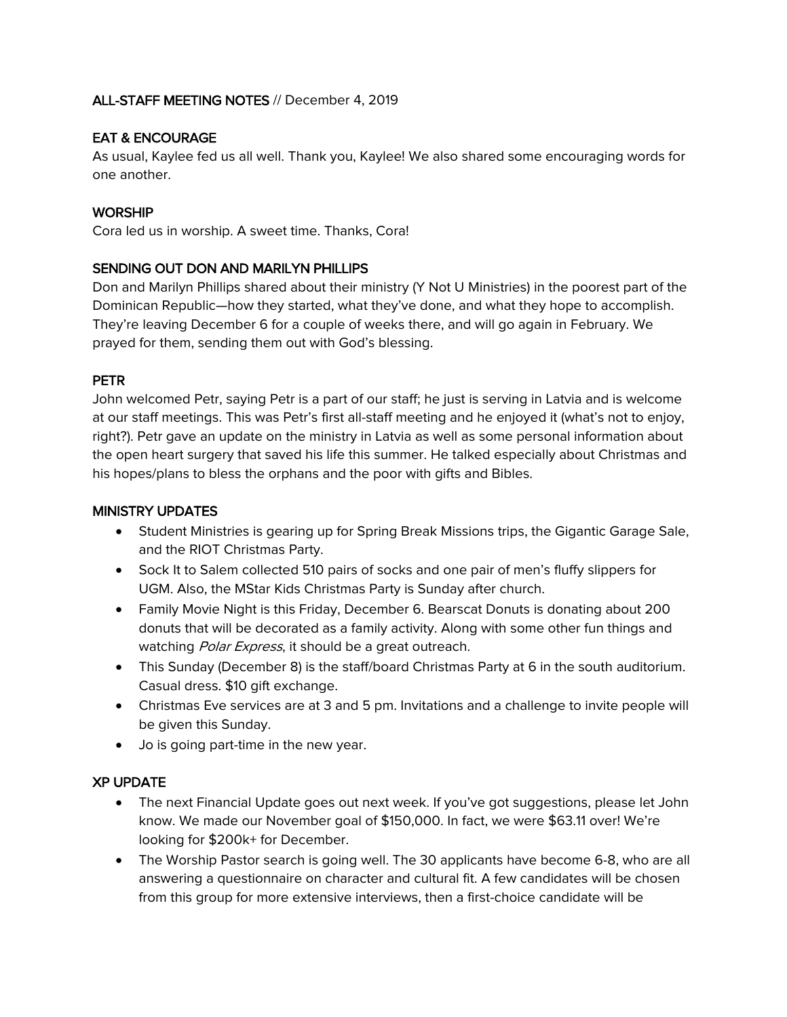### ALL-STAFF MEETING NOTES // December 4, 2019

# EAT & ENCOURAGE

As usual, Kaylee fed us all well. Thank you, Kaylee! We also shared some encouraging words for one another.

# **WORSHIP**

Cora led us in worship. A sweet time. Thanks, Cora!

### SENDING OUT DON AND MARILYN PHILLIPS

Don and Marilyn Phillips shared about their ministry (Y Not U Ministries) in the poorest part of the Dominican Republic—how they started, what they've done, and what they hope to accomplish. They're leaving December 6 for a couple of weeks there, and will go again in February. We prayed for them, sending them out with God's blessing.

# PETR

John welcomed Petr, saying Petr is a part of our staff; he just is serving in Latvia and is welcome at our staff meetings. This was Petr's first all-staff meeting and he enjoyed it (what's not to enjoy, right?). Petr gave an update on the ministry in Latvia as well as some personal information about the open heart surgery that saved his life this summer. He talked especially about Christmas and his hopes/plans to bless the orphans and the poor with gifts and Bibles.

### MINISTRY UPDATES

- Student Ministries is gearing up for Spring Break Missions trips, the Gigantic Garage Sale, and the RIOT Christmas Party.
- Sock It to Salem collected 510 pairs of socks and one pair of men's fluffy slippers for UGM. Also, the MStar Kids Christmas Party is Sunday after church.
- Family Movie Night is this Friday, December 6. Bearscat Donuts is donating about 200 donuts that will be decorated as a family activity. Along with some other fun things and watching Polar Express, it should be a great outreach.
- This Sunday (December 8) is the staff/board Christmas Party at 6 in the south auditorium. Casual dress. \$10 gift exchange.
- Christmas Eve services are at 3 and 5 pm. Invitations and a challenge to invite people will be given this Sunday.
- Jo is going part-time in the new year.

### XP UPDATE

- The next Financial Update goes out next week. If you've got suggestions, please let John know. We made our November goal of \$150,000. In fact, we were \$63.11 over! We're looking for \$200k+ for December.
- The Worship Pastor search is going well. The 30 applicants have become 6-8, who are all answering a questionnaire on character and cultural fit. A few candidates will be chosen from this group for more extensive interviews, then a first-choice candidate will be